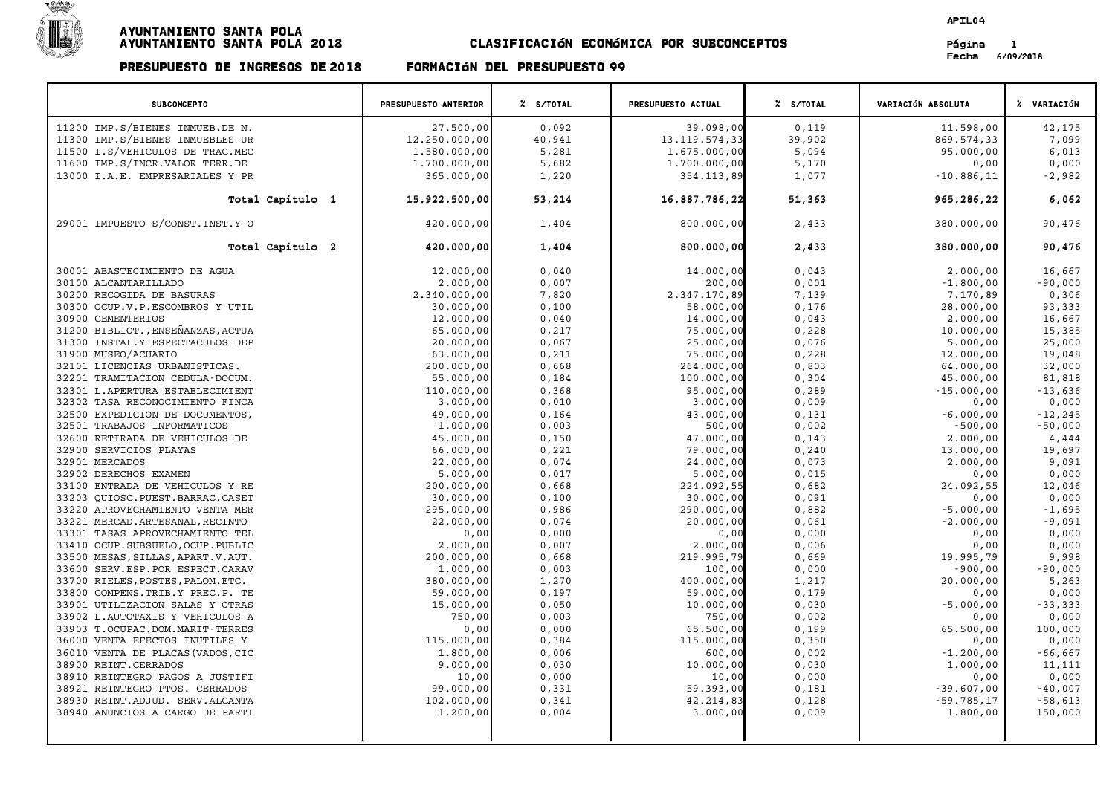

PRESUPUESTO DE INGRESOS DE <sup>2018</sup> FORMACIøN DEL PRESUPUESTO <sup>99</sup>

APIL04

Fecha 6/09/2018

## SUBCONCEPTO PRESUPUESTO ANTERIOR % S/TOTAL PRESUPUESTO ACTUAL % S/TOTAL VARIACIÓN ABSOLUTA % VARIACIÓN % VARI<br>PRESUPUESTO ANTERIOR % S/TOTAL PRESUPUESTO ACTUAL % S/TOTAL % VARIACIÓN ABSOLUTA % VARIACIÓN 11200 IMP.S/BIENES INMUEB.DE N. 27.500,00 0,092 39.098,00 0,119 11.598,00 11.598,00 42,175 <sup>11300</sup> IMP.S/BIENES INMUEBLES UR 12.250.000,00 40,941 13.119.574,33 39,902 869.574,33 7,099 <sup>11500</sup> I.S/VEHICULOS DE TRAC.MEC 1.580.000,00 5,281 1.675.000,00 5,094 95.000,00 6,013 11500 IMP.S/BIENES INNUEBIES OR DESCRIPTION OF THE 1999 INCREDIBLE 1.700.000,00 DESCRIPTION OF THE 1.700.000,00<br>11500 IMP.S/UEHICULOS DE TRAC.NEC 1.700.000,000 0,000,000 0,000,000 0,000 0,000 0,000 0,000 0,00 0,000 0,000<br>1 11300 IMPLS/INCRUSHINGRUPH RECHENCE 1.300.000,00 3,200 3,200 3,200 3,200 3,000 3,000 3,000 3,000 3,000 3,000 3<br>11600 IMPLS/INCRUSHINGRUPH RECHENCE 2.982 355.000,00 3,000 3,000 3,000 3,000 3,000 3,000 3,000 3,000 3,000 3,<br>1  $T_{\rm{total}}$   $T_{\rm{C}}$   $T_{\rm{C}}$   $T_{\rm{C}}$   $T_{\rm{D}}$   $T_{\rm{D}}$   $T_{\rm{D}}$   $T_{\rm{D}}$   $T_{\rm{D}}$   $T_{\rm{D}}$   $T_{\rm{D}}$   $T_{\rm{D}}$   $T_{\rm{D}}$   $T_{\rm{D}}$   $T_{\rm{D}}$   $T_{\rm{D}}$   $T_{\rm{D}}$   $T_{\rm{D}}$   $T_{\rm{D}}$   $T_{\rm{D}}$   $T_{\rm{D}}$   $T_{\rm{D}}$  29001 IMPUESTO S/CONST.INST.Y O 476  $T_{\rm{total}}$  Capítulo 2 420.000,00  $\left( \begin{array}{ccc} 4.404 & 1.404 \ 420.000,00 \end{array} \right)$  380.000,00 380.000,00 90,476  $30001$  ABASTECIMIENTO DE AGUA 12.000,00  $1,2000,000$  1.000,00 0,040 0,000 0,043 2.000,00 0,043 2.000,00 16,667 30100 ALCANTARILLADO 2.000,00 0,007 200,00 0,001 -1.800,00 -90,000 30100 ALGINILATO DE AGOA (1990) 2.000,00 0,000 0,000 0,000 0,000 0,000 0,000 0,000 0,000 0,000 0,000 0,000 0,00<br>30200 RECOGIDA DE BASURAS (1990,000 0,000 0,000 0,000 0,000 0,000 0,000 0,000 0,000 0,000 0,000 0,000 0,000 0 30300 OCUPANTARILLADIO PRODUCTOR DE ENGLOSO DE ENGLOSO DE ENGLOSO DE ENGLOSO DE ENGLOSO DE ENGLOSO DE ENGLOSO D<br>30.000 0RECOGIDA DE ENGLOSO DE ENGLOSO DE ENGLOSO, DO COO, 00 0,100 0,100 0,176 0,176 2.340.000,00 93,333<br>30. 30300 CEMENTERIOS OCUPLATE E BASONAS UTIL (1,000,000 0,000,000 0,000 0,000 0,000 0,000 0,000 0,000 0,000 0,00<br>30900 CEMENTERIOS 0.000,000 0,040 0,040 0,000 0,043 0,000,000 0,043 2.000,000 16,667 31200 BIBLIOT.,ENSEÑANZAS,ACTUA 65.000,00 0,217 75.000,00 0,228 10.000,00 15,385 31200 EIBENTERIOS (NETRO INCREDID DESCRIPTION DESCRIPTION DESCRIPTION DESCRIPTION DESCRIPTION DESCRIPTION DESCRIPTION DESCRIPTION DESCRIPTION DESCRIPTION DESCRIPTION DESCRIPTION DESCRIPTION DESCRIPTION DESCRIPTION DESCRIPT 31200 BIBLIOT.,ENSENANZAS,ACIOA (1,353)<br>31300 INSTAL.Y ESPECTACULOS DEP (25.000,00 0,067 0,067 125.000,00 0,076 5.000,00 5.000,00 25,000<br>31900 MUSEO/ACUARIO 19,048 12.000,00 19,048 12.000,00 19,048 32101 LICENCIAS URBANISTICAS. 200.000,00 0,668 264.000,00 0,803 64.000,00 32,000 32201 TRAMITACION CEDULA-DOCUM. 55.000,00 0,184 100.000,00 0,304 45.000,00 81,818 32201 LICENCIAS UNDANISITEAS. NUMERICON ESTABLECIMIENT DE 201.000,00 0,368 0,304 0,304 0,289 0,289 0,289 0,289<br>32301 T.APERTURA ESTABLECIMIENT 110.000,00 0,368 0,368 0,368 0,289 0,289 10.000,00 0,289 15.000,00 13,636 32302 TASA RECONOCIMIENTO FINCA 3.000,00 0,010 3.000,00 0,009 0,00 0,000 32302 TASPA DIABERICKA BITABLECTION OR UNIVERSITY OF THE RESERVANCE OR DESCRIPTION OF THE RESERVANCE OR DESCRIP<br>32302 TASA RECONOCIMENTOS, ANNO 1999 (164 1.000,00 0,164 1.000,00 0,131 -6.000,00 -12,245<br>32500 EXPEDICION DE 32.300 IASA RECONOCINIENTO FINCA (1,000,000 1,000,000 0,100 0,000 0,000 0,000 0,000 0,000 0,000 0,000 0,000 0,<br>32501 TRABAJOS INFORMATICOS (1,000,000 0,000 0,000 0,000 0,000 0,000 0,000 0,000 0,000 0,000 0,000 0,000 0,000 32500 READICION DE DOCTORENT DE CONFORMENT (1.000,00 0,103 = 1.000,00 0,103 = 1.000,00 0,150 0,000 0,103 = 1.0<br>32600 RETIRADA DE VEHICULOS DE 4.444 = 1.000,00 0,150 0,150 = 47.000,00 0,143 = 2.000,00 0,000 0,143 = 2.000,0 32900 SERVICIOS INFORMATICOS - 1.000,00 0,000 0,000 0,000 0,000 0,000 0,000 0,000 0,000 0,000 0,000 0,000 0,00<br>32600 SERVICOS DE 47.000,00 0,221 13.000,00 0,221 13.000,00 0,240 13.000,00 19,697 32901 MERCADOS 22.000,00 0,074 24.000,00 0,073 2.000,00 9,091 <sup>32902</sup> DERECHOS EXAMEN 5.000,00 0,017 5.000,00 0,015 0,00 0,000 32902 DERCADOS EXAMEN O.00 (1,000,00 0,000 0,000 0,000 0,000 0,000 0,000 0,000 0,000 0,000 0,000 0,000 0,000 0,000<br>33100 ENTRADA DE VEHICULOS Y RE 200.000,00 0,000 0,000 0,000 0,000 0,000 0,000 0,000 0,000 0,000 0,000 0,00 33203 QUIOSC.PUEST.BARRAC.CASET 30.000,00 0,100 30.000,00 0,091 0,00 0,000 <sup>33220</sup> APROVECHAMIENTO VENTA MER 295.000,00 0,986 290.000,00 0,882 -5.000,00 -1,695 33221 MERCAD.ARTESANAL,RECINTO 22.000,00 0,074 20.000,00 0,061 -2.000,00 -9,091 33221 AFROVECHAMIENTO VENTA MER<br>3321 MERCAD.ARTESANAL,RECINTO (ANTIONICO 1990,000 0,000 0,000 0,000 0,000 0,000 0,000 0,000 0,000 0,000 0,000<br>0,000 0,000 0,000 0,000 0,000 0,000 0,000 0,000 0,000 0,000 0,000 0,000 0,000 0 33410 OCUP.SUBSUELO,OCUP.PUBLIC 2.000,00 0,007 2.000,00 0,006 0,00 0,000 33301 ASAS AFROVECHARLENTO LEL<br>33410 OCUP.SUBDED.OOC.DUP.PUBLIC 200.000,00 0,000 0,000 0,000 0,000 0,000 0,000 0,000 0,000<br>33500 MESAS,SILLAS,APART.V.AUT. 200.000,00 0,668 219.995,79 0,669 19.995,79 9,998 33500 MESAS;ILLAS,APART.V.AUT. 2.000,000 0,000,000 0,000,000 0,000,000 0,000 0,000 0,000 0,000 0,000 0,000 0,0<br>33600 SERV.ESP.POR ESPECT.CARAV 1.000,000 0,000 0,000 0,000 0,000 0,000 0,000 0,000 0,000 0,000 0,000 0,000 0, 33600 SERV.ESP.POR ERACT.CARITY AUTHOR (1.000,000 0.003 0.003 0.000 0.000 0.000 0.000 0.000 0.000 0.000 0.000<br>33700 RIELES,POSTES,PALOM.ETC. 380.000,00 1,270 400.000,00 1,217 20.000,00 5,263 <sup>33800</sup> COMPENS.TRIB.Y PREC.P. TE 59.000,00 0,197 59.000,00 0,179 0,00 0,000 33800 COMPENS, POSILS, PRIORILET U. PORT (1990) (1990) (1990) (1990) (1990) (1990) (1990) (1990) (1990) (1990)<br>33901 UTILIZACION SALAS Y OTRAS (1990) (1990) (1990) (1990) (1990) (1990) (1990) (1990) (1990) (1990) (1990) (<br> <sup>33902</sup> L.AUTOTAXIS Y VEHICULOS A 750,00 0,003 750,00 0,002 0,00 0,000 33903 T.OCUPAC.ION SALAS I UINS A AND TO 200,000 0,000 0,000 0,000 0,000 0,000 0,000 0,000 0,000 0,000 0,000 0,<br>33903 T.OCUPAC.ION.MARIT-TERRES (100,000 0,000 0,000 0,000 0,000 0,000 0,000 0,000 0,000 0,000 0,000 0,000 0, كان بن المرام المرام المرام المرام المرام المرام المرام المرام المرام المرام المرام المرام المرام المرام المرا<br>36000 VENTA EFECTOS INUTILES Y 115.000,00 0,384 115.000,00 0,384 115.000,00 0,350 0,000 0,000 0,000 0,000 0,00 36000 VENTA DE PLACAS(VADOS, CIC) (100,000 0,000 0,000 0,000 0,000 0,000 0,000 0,000 0,000 0,000 0,000 0,000<br>36010 VENTA DE PLACAS(VADOS,CIC 1.800,00 0,006 0,000 0,000 0,000 0,000 0,000 0,000 0,000 0,000 0,000 0,000 0,<br>36 38900 REINT.CERRADOS 9.000,00 0,030 10.000,00 0,030 1.000,00 11,111 38910 REINTEGRO PAGOS A JUSTIFI (1.000,000 0.000 0.000 0.000 0.000 0.000 0.000 0.000 0.000 0.000 0.000 0.000 0<br>38910 REINTEGRO PAGOS A JUSTIFI (1.11 11 10,000 0.000 0.000 0.000 0.000 0.000 0.000 0.000 0.000 0.000 0.000 0.<br> 38921 REINTEGRO PTOS. CERRADOS 99.000,00 0,331 59.393,00 0,181 -39.607,00 -40,007 38910 REINTEGRO FAGOS A UCITIT (NOTOR) (UCITIT) (UCITIT) (UCITIT) (UCITIT) (UCITIT) (UCITIT) (UCITIT) (UCITIT)<br>38930 REINTEGRO PICROS CERRADOS (UCITIT) (UCITIT) (UCITIT) (UCITIT) (UCITIT) (UCITIT) (UCITIT) (UCITIT) (UCITI<br> 38930 REINTEGNO FIOS. CENNEDOS (1999). 2009,00 0,341 (1999). 2009,00 0,341 (1999). 2009, 2009 0,341 (1999). 2009<br>38940 ANUNCIOS A CARGO DE PARTI (1.200,000 0,341 (1.200,000 0,341 (1.200,000 0,341 (1.200,000 0,009 1.800,00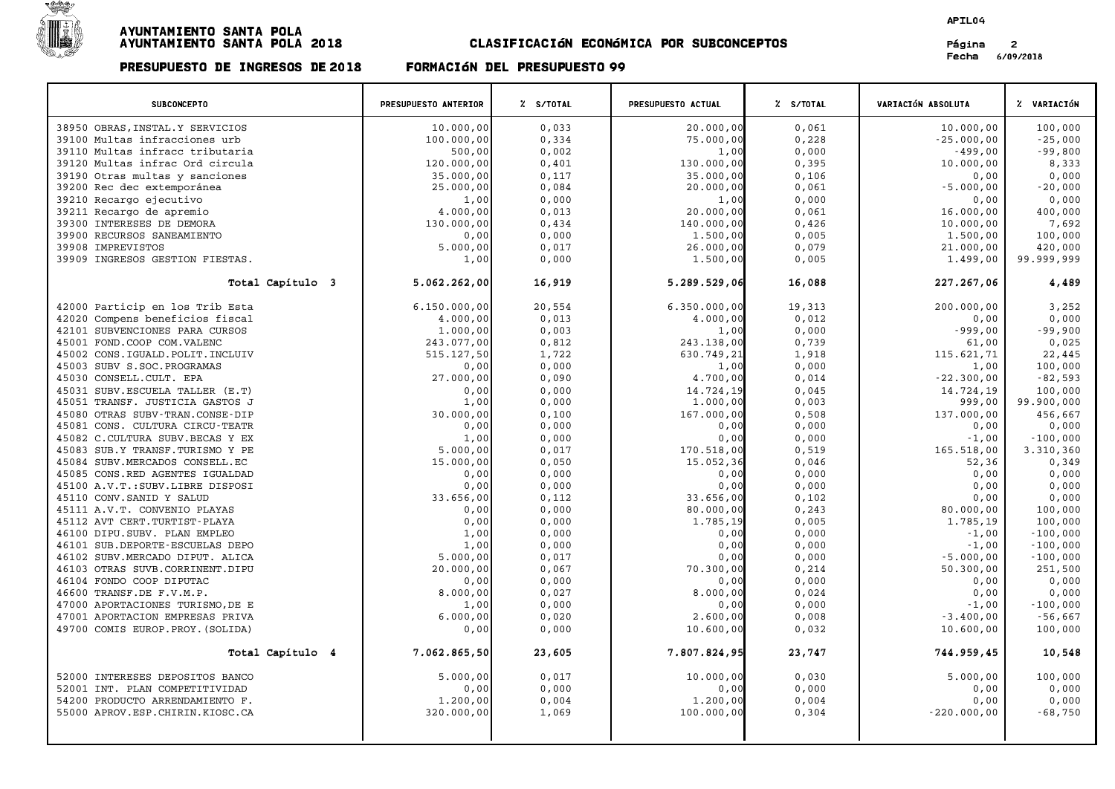

# PRESUPUESTO DE INGRESOS DE <sup>2018</sup> FORMACIøN DEL PRESUPUESTO <sup>99</sup>

### APIL04

Página 2<br>Fecha 6/09/2018

| <b>SUBCONCEPTO</b>                                                 | PRESUPUESTO ANTERIOR | Z S/TOTAL      | PRESUPUESTO ACTUAL | Z S/TOTAL      | <b>VARIACIÓN ABSOLUTA</b> | % VARIACIÓN              |
|--------------------------------------------------------------------|----------------------|----------------|--------------------|----------------|---------------------------|--------------------------|
| 38950 OBRAS, INSTAL.Y SERVICIOS                                    | 10.000,00            | 0.033          | 20.000,00          | 0.061          | 10.000.00                 | 100,000                  |
| 39100 Multas infracciones urb                                      | 100.000,00           | 0,334          | 75.000,00          | 0,228          | $-25.000,00$              | $-25,000$                |
| 39110 Multas infracc tributaria                                    | 500,00               | 0,002          | 1,00               | 0,000          | $-499,00$                 | $-99,800$                |
| 39120 Multas infrac Ord circula                                    | 120.000,00           | 0,401          | 130.000,00         | 0,395          | 10.000,00                 | 8,333                    |
| 39190 Otras multas y sanciones                                     | 35.000,00            | 0,117          | 35.000,00          | 0,106          | 0,00                      | 0,000                    |
| 39200 Rec dec extemporánea                                         | 25.000,00            | 0,084          | 20.000,00          | 0,061          | $-5.000,00$               | $-20,000$                |
| 39210 Recargo ejecutivo                                            | 1,00                 | 0,000          | 1,00               | 0,000          | 0,00                      | 0,000                    |
| 39211 Recargo de apremio                                           | 4.000,00             | 0,013          | 20.000,00          | 0,061          | 16.000,00                 | 400,000                  |
| 39300 INTERESES DE DEMORA                                          | 130.000,00           | 0,434          | 140.000,00         | 0,426          | 10.000,00                 | 7,692                    |
| 39900 RECURSOS SANEAMIENTO                                         | 0,00                 | 0,000          | 1.500,00           | 0,005          | 1.500,00                  | 100,000                  |
| 39908 IMPREVISTOS                                                  | 5.000,00             | 0,017          | 26.000,00          | 0,079          | 21.000,00                 | 420,000                  |
| 39909 INGRESOS GESTION FIESTAS.                                    | 1,00                 | 0,000          | 1.500,00           | 0,005          | 1.499,00                  | 99.999,999               |
| Total Capítulo 3                                                   | 5.062.262,00         | 16,919         | 5.289.529,06       | 16,088         | 227.267,06                | 4,489                    |
| 42000 Particip en los Trib Esta                                    | 6.150.000,00         | 20,554         | 6.350.000,00       | 19,313         | 200.000,00                | 3,252                    |
| 42020 Compens beneficios fiscal                                    | 4.000,00             | 0,013          | 4.000,00           | 0,012          | 0,00                      | 0,000                    |
| 42101 SUBVENCIONES PARA CURSOS                                     | 1,000,00             | 0,003          | 1,00               | 0,000          | $-999,00$                 | $-99,900$                |
| 45001 FOND.COOP COM.VALENC                                         | 243.077,00           | 0,812          | 243.138,00         | 0,739          | 61,00                     | 0,025                    |
| 45002 CONS. IGUALD. POLIT. INCLUIV                                 | 515.127,50           | 1,722          | 630.749,21         | 1,918          | 115.621,71                | 22,445                   |
| 45003 SUBV S.SOC. PROGRAMAS                                        | 0,00                 | 0,000          | 1,00               | 0,000          | 1,00                      | 100,000                  |
| 45030 CONSELL.CULT. EPA                                            | 27.000,00            | 0,090          | 4.700,00           | 0,014          | $-22.300,00$              | $-82,593$                |
| 45031 SUBV. ESCUELA TALLER (E.T)                                   | 0,00                 | 0,000          | 14.724,19          | 0,045          | 14.724,19                 | 100,000                  |
| 45051 TRANSF. JUSTICIA GASTOS J                                    | 1,00                 | 0,000          | 1.000,00           | 0,003          | 999,00                    | 99.900,000               |
| 45080 OTRAS SUBV-TRAN.CONSE-DIP                                    | 30.000,00            | 0,100          | 167.000,00         | 0,508          | 137.000,00                | 456,667                  |
| 45081 CONS. CULTURA CIRCU-TEATR                                    | 0,00                 | 0,000          | 0,00               | 0,000          | 0,00                      | 0,000                    |
| 45082 C.CULTURA SUBV.BECAS Y EX                                    | 1,00                 | 0,000          | 0,00               | 0,000          | $-1,00$                   | $-100,000$               |
| 45083 SUB.Y TRANSF.TURISMO Y PE                                    | 5.000,00             | 0,017          | 170.518,00         | 0,519          | 165.518,00                | 3.310,360                |
| 45084 SUBV.MERCADOS CONSELL.EC                                     | 15.000,00            | 0,050          | 15.052,36          | 0,046          | 52,36                     | 0,349                    |
| 45085 CONS.RED AGENTES IGUALDAD                                    | 0,00                 | 0,000          | 0,00               | 0,000          | 0,00                      | 0,000                    |
| 45100 A.V.T.: SUBV.LIBRE DISPOSI                                   | 0,00                 | 0,000          | 0,00               | 0,000          | 0,00                      | 0,000                    |
| 45110 CONV. SANID Y SALUD                                          | 33.656,00            | 0,112          | 33.656,00          | 0,102          | 0,00                      | 0,000                    |
| 45111 A.V.T. CONVENIO PLAYAS                                       | 0,00                 | 0,000          | 80.000,00          | 0, 243         | 80.000,00                 | 100,000                  |
| 45112 AVT CERT. TURTIST-PLAYA                                      | 0,00                 | 0,000          | 1.785,19           | 0,005          | 1.785,19                  | 100,000                  |
| 46100 DIPU.SUBV. PLAN EMPLEO                                       | 1,00                 | 0,000          | 0,00               | 0,000          | $-1,00$                   | $-100,000$               |
| 46101 SUB.DEPORTE-ESCUELAS DEPO<br>46102 SUBV.MERCADO DIPUT. ALICA | 1,00<br>5.000,00     | 0,000          | 0,00<br>0,00       | 0,000<br>0,000 | $-1,00$<br>$-5.000,00$    | $-100,000$<br>$-100,000$ |
| 46103 OTRAS SUVB. CORRINENT. DIPU                                  | 20.000,00            | 0,017<br>0,067 | 70.300,00          | 0,214          | 50.300,00                 | 251,500                  |
| 46104 FONDO COOP DIPUTAC                                           | 0,00                 | 0,000          | 0,00               | 0,000          | 0,00                      | 0,000                    |
| 46600 TRANSF.DE F.V.M.P.                                           | 8.000,00             | 0,027          | 8.000,00           | 0,024          | 0,00                      | 0,000                    |
| 47000 APORTACIONES TURISMO, DE E                                   | 1,00                 | 0,000          | 0.00               | 0.000          | $-1.00$                   | $-100,000$               |
| 47001 APORTACION EMPRESAS PRIVA                                    | 6.000,00             | 0,020          | 2.600,00           | 0,008          | $-3.400,00$               | $-56,667$                |
| 49700 COMIS EUROP. PROY. (SOLIDA)                                  | 0,00                 | 0,000          | 10.600,00          | 0,032          | 10.600,00                 | 100,000                  |
| Total Capítulo 4                                                   | 7.062.865,50         | 23,605         | 7.807.824,95       | 23,747         | 744.959,45                | 10,548                   |
| 52000 INTERESES DEPOSITOS BANCO                                    | 5.000,00             | 0,017          | 10.000,00          | 0,030          | 5.000,00                  | 100,000                  |
| 52001 INT. PLAN COMPETITIVIDAD                                     | 0,00                 | 0,000          | 0,00               | 0,000          | 0,00                      | 0,000                    |
| 54200 PRODUCTO ARRENDAMIENTO F.                                    | 1,200,00             | 0,004          | 1,200,00           | 0,004          | 0,00                      | 0,000                    |
| 55000 APROV.ESP.CHIRIN.KIOSC.CA                                    | 320.000,00           | 1,069          | 100.000,00         | 0,304          | $-220.000,00$             | $-68,750$                |
|                                                                    |                      |                |                    |                |                           |                          |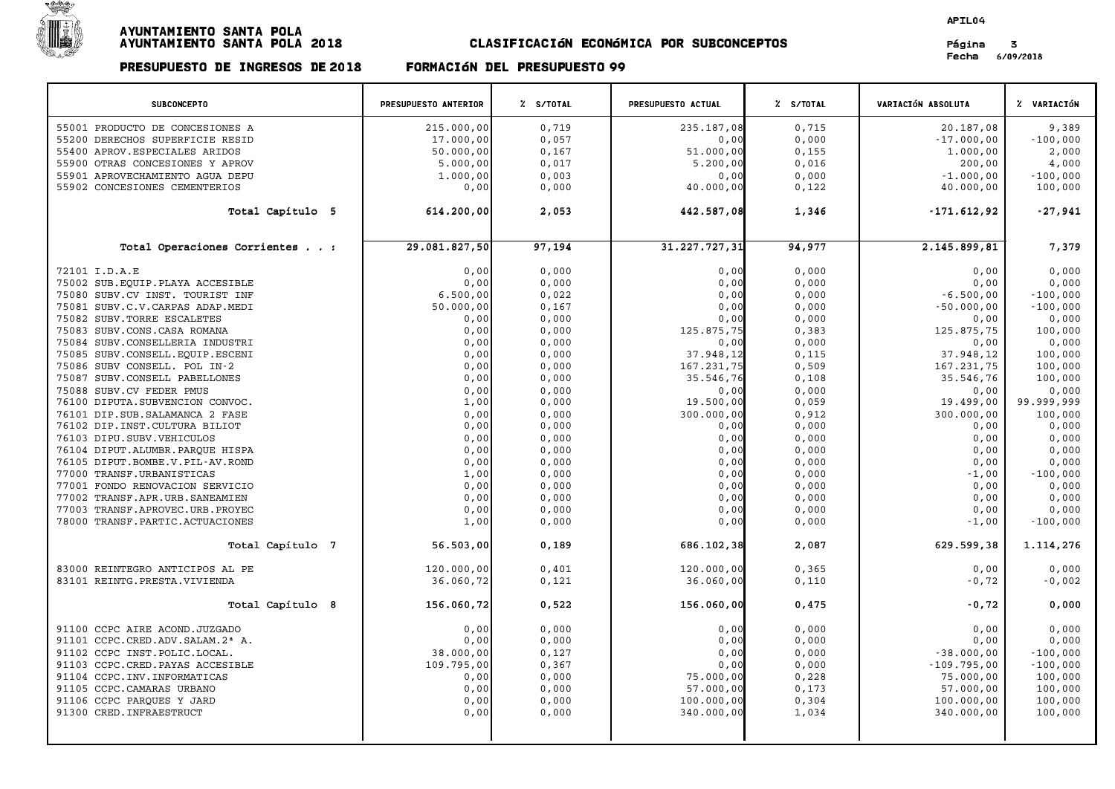

# PRESUPUESTO DE INGRESOS DE <sup>2018</sup> FORMACIøN DEL PRESUPUESTO <sup>99</sup>

### APIL04

Página 3<br>Fecha 6/09/2018

| <b>SUBCONCEPTO</b>                                                 | PRESUPUESTO ANTERIOR | Z S/TOTAL      | PRESUPUESTO ACTUAL      | % S/TOTAL      | VARIACIÓN ABSOLUTA      | % VARIACIÓN           |
|--------------------------------------------------------------------|----------------------|----------------|-------------------------|----------------|-------------------------|-----------------------|
| 55001 PRODUCTO DE CONCESIONES A                                    | 215.000,00           | 0,719          | 235.187,08              | 0.715          | 20.187,08               | 9,389                 |
| 55200 DERECHOS SUPERFICIE RESID                                    | 17.000,00            | 0,057          | 0,00                    | 0,000          | $-17.000,00$            | $-100,000$            |
| 55400 APROV. ESPECIALES ARIDOS                                     | 50.000,00            | 0,167          | 51.000,00               | 0,155          | 1,000,00                | 2,000                 |
| 55900 OTRAS CONCESIONES Y APROV                                    | 5.000,00             | 0,017          | 5.200,00                | 0,016          | 200,00                  | 4,000                 |
| 55901 APROVECHAMIENTO AGUA DEPU                                    | 1,000,00             | 0,003          | 0,00                    | 0,000          | $-1.000,00$             | $-100,000$            |
| 55902 CONCESIONES CEMENTERIOS                                      | 0,00                 | 0,000          | 40.000,00               | 0,122          | 40.000,00               | 100,000               |
| Total Capítulo 5                                                   | 614.200,00           | 2,053          | 442.587,08              | 1,346          | $-171.612,92$           | $-27,941$             |
| Total Operaciones Corrientes :                                     | 29.081.827,50        | 97,194         | 31.227.727,31           | 94,977         | 2.145.899,81            | 7,379                 |
| 72101 I.D.A.E                                                      | 0,00                 | 0,000          | 0,00                    | 0,000          | 0,00                    | 0,000                 |
| 75002 SUB. EQUIP. PLAYA ACCESIBLE                                  | 0,00                 | 0,000          | 0,00                    | 0,000          | 0,00                    | 0,000                 |
| 75080 SUBV.CV INST. TOURIST INF                                    | 6.500,00             | 0,022          | 0,00                    | 0,000          | $-6.500,00$             | $-100,000$            |
| 75081 SUBV.C.V.CARPAS ADAP.MEDI                                    | 50.000,00            | 0,167          | 0,00                    | 0,000          | $-50.000,00$            | $-100,000$            |
| 75082 SUBV. TORRE ESCALETES                                        | 0,00                 | 0,000          | 0,00                    | 0,000          | 0,00                    | 0,000                 |
| 75083 SUBV.CONS.CASA ROMANA                                        | 0,00                 | 0,000          | 125.875,75              | 0,383          | 125.875,75              | 100,000               |
| 75084 SUBV.CONSELLERIA INDUSTRI                                    | 0,00                 | 0,000          | 0,00                    | 0,000          | 0,00                    | 0,000                 |
| 75085 SUBV.CONSELL.EQUIP.ESCENI                                    | 0,00                 | 0,000          | 37.948,12               | 0,115          | 37.948,12               | 100,000               |
| 75086 SUBV CONSELL. POL IN-2                                       | 0,00                 | 0,000          | 167.231,75              | 0,509          | 167.231,75              | 100,000               |
| 75087 SUBV.CONSELL PABELLONES                                      | 0,00                 | 0,000          | 35.546,76               | 0,108          | 35.546,76               | 100,000               |
| 75088 SUBV.CV FEDER PMUS                                           | 0,00                 | 0,000          | 0,00                    | 0,000          | 0,00                    | 0,000                 |
| 76100 DIPUTA. SUBVENCION CONVOC.<br>76101 DIP.SUB.SALAMANCA 2 FASE | 1,00<br>0,00         | 0,000<br>0,000 | 19.500,00<br>300.000,00 | 0,059<br>0,912 | 19.499,00<br>300.000,00 | 99.999,999<br>100,000 |
| 76102 DIP.INST.CULTURA BILIOT                                      | 0,00                 | 0,000          | 0,00                    | 0,000          | 0,00                    | 0,000                 |
| 76103 DIPU.SUBV.VEHICULOS                                          | 0,00                 | 0,000          | 0,00                    | 0,000          | 0,00                    | 0,000                 |
| 76104 DIPUT.ALUMBR.PARQUE HISPA                                    | 0,00                 | 0,000          | 0,00                    | 0,000          | 0,00                    | 0,000                 |
| 76105 DIPUT.BOMBE.V.PIL-AV.ROND                                    | 0,00                 | 0,000          | 0,00                    | 0,000          | 0,00                    | 0,000                 |
| 77000 TRANSF.URBANISTICAS                                          | 1,00                 | 0,000          | 0,00                    | 0,000          | $-1,00$                 | $-100,000$            |
| 77001 FONDO RENOVACION SERVICIO                                    | 0,00                 | 0,000          | 0,00                    | 0,000          | 0,00                    | 0,000                 |
| 77002 TRANSF.APR.URB.SANEAMIEN                                     | 0,00                 | 0,000          | 0,00                    | 0,000          | 0,00                    | 0,000                 |
| 77003 TRANSF.APROVEC.URB.PROYEC                                    | 0,00                 | 0,000          | 0,00                    | 0,000          | 0,00                    | 0,000                 |
| 78000 TRANSF. PARTIC. ACTUACIONES                                  | 1,00                 | 0,000          | 0,00                    | 0,000          | $-1,00$                 | $-100,000$            |
| Total Capítulo 7                                                   | 56.503,00            | 0,189          | 686.102,38              | 2,087          | 629.599,38              | 1.114,276             |
| 83000 REINTEGRO ANTICIPOS AL PE                                    | 120.000,00           | 0,401          | 120.000,00              | 0, 365         | 0,00                    | 0,000                 |
| 83101 REINTG. PRESTA. VIVIENDA                                     | 36.060,72            | 0,121          | 36.060,00               | 0,110          | $-0,72$                 | $-0,002$              |
| Total Capítulo 8                                                   | 156.060,72           | 0,522          | 156.060,00              | 0,475          | $-0,72$                 | 0,000                 |
| 91100 CCPC AIRE ACOND.JUZGADO                                      | 0,00                 | 0,000          | 0,00                    | 0,000          | 0,00                    | 0,000                 |
| 91101 CCPC.CRED.ADV.SALAM.2 <sup>ª</sup> A.                        | 0,00                 | 0,000          | 0,00                    | 0,000          | 0,00                    | 0,000                 |
| 91102 CCPC INST. POLIC. LOCAL.                                     | 38.000,00            | 0,127          | 0,00                    | 0,000          | $-38.000,00$            | $-100,000$            |
| 91103 CCPC.CRED. PAYAS ACCESIBLE                                   | 109.795,00           | 0, 367         | 0,00                    | 0,000          | $-109.795,00$           | $-100,000$            |
| 91104 CCPC. INV. INFORMATICAS                                      | 0,00                 | 0,000          | 75.000,00               | 0,228          | 75.000,00               | 100,000               |
| 91105 CCPC. CAMARAS URBANO                                         | 0,00                 | 0,000          | 57.000,00               | 0,173          | 57.000,00               | 100,000               |
| 91106 CCPC PARQUES Y JARD                                          | 0,00                 | 0,000          | 100.000,00              | 0,304          | 100.000,00              | 100,000               |
| 91300 CRED. INFRAESTRUCT                                           | 0,00                 | 0,000          | 340.000,00              | 1,034          | 340.000,00              | 100,000               |
|                                                                    |                      |                |                         |                |                         |                       |